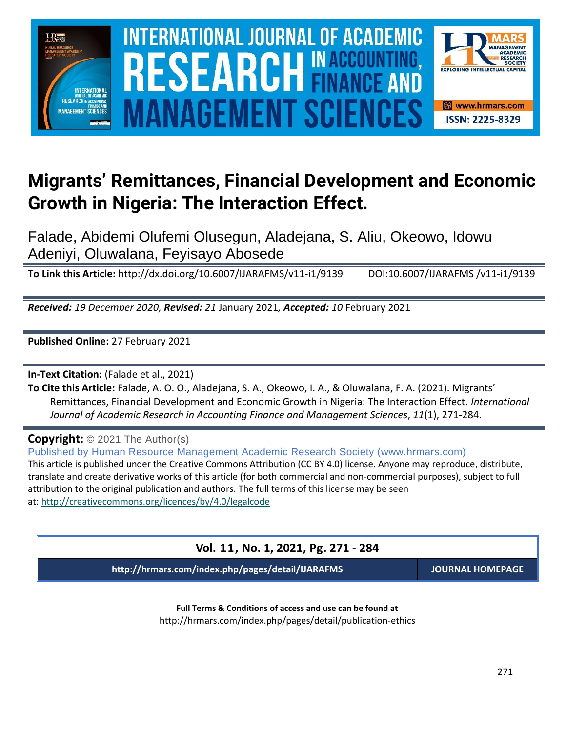

### **Migrants' Remittances, Financial Development and Economic Growth in Nigeria: The Interaction Effect.**

Falade, Abidemi Olufemi Olusegun, Aladejana, S. Aliu, Okeowo, Idowu Adeniyi, Oluwalana, Feyisayo Abosede

**To Link this Article:** http://dx.doi.org/10.6007/IJARAFMS/v11-i1/9139 DOI:10.6007/IJARAFMS /v11-i1/9139

*Received: 19 December 2020, Revised: 21* January 2021*, Accepted: 10* February 2021

**Published Online:** 27 February 2021

**In-Text Citation:** (Falade et al., 2021)

**To Cite this Article:** Falade, A. O. O., Aladejana, S. A., Okeowo, I. A., & Oluwalana, F. A. (2021). Migrants' Remittances, Financial Development and Economic Growth in Nigeria: The Interaction Effect. *International Journal of Academic Research in Accounting Finance and Management Sciences*, *11*(1), 271-284.

**Copyright:** © 2021 The Author(s)

Published by Human Resource Management Academic Research Society (www.hrmars.com) This article is published under the Creative Commons Attribution (CC BY 4.0) license. Anyone may reproduce, distribute, translate and create derivative works of this article (for both commercial and non-commercial purposes), subject to full attribution to the original publication and authors. The full terms of this license may be seen at: <http://creativecommons.org/licences/by/4.0/legalcode>

### **Vol. 11, No. 1, 2021, Pg. 271 - 284**

**http://hrmars.com/index.php/pages/detail/IJARAFMS JOURNAL HOMEPAGE**

**Full Terms & Conditions of access and use can be found at** http://hrmars.com/index.php/pages/detail/publication-ethics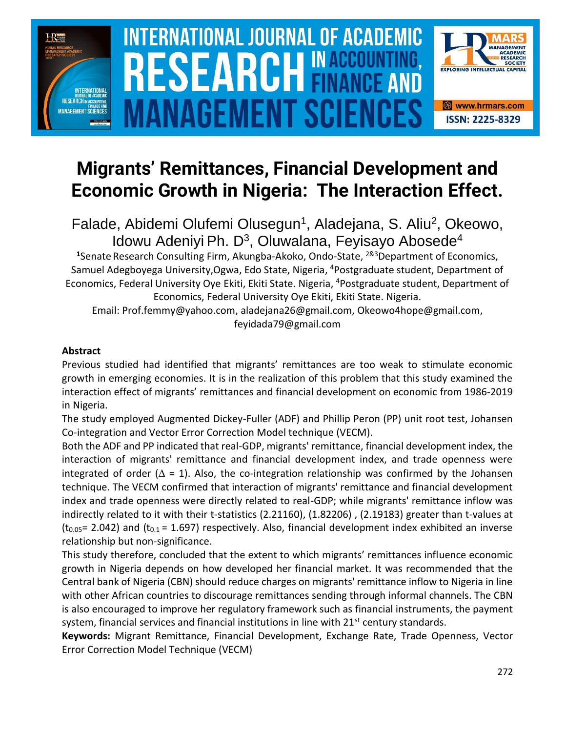

# $\blacksquare$  INTERNATIONAL JOURNAL OF ACADEMIC RESEARCH IN ACCOUNTING, FINANCE AND  $\blacksquare$ SOURCE NEWSLET AND RELEASE OF THE SCIENCE OF THE SCIENCE OF THE SCIENCE OF THE SCIENCE OF THE SCIENCE OF THE SCIENCE **Vol. 1 1 , No. 1, 2021, E-ISSN: 2225-8329 © 2021 HRMARS NAGEMENT SCIE**



## **Migrants' Remittances, Financial Development and Economic Growth in Nigeria: The Interaction Effect.**

Falade, Abidemi Olufemi Olusegun<sup>1</sup>, Aladejana, S. Aliu<sup>2</sup>, Okeowo, Idowu Adeniyi Ph. D<sup>3</sup>, Oluwalana, Feyisayo Abosede<sup>4</sup>

**<sup>1</sup>**Senate Research Consulting Firm, Akungba-Akoko, Ondo-State, 2&3Department of Economics, Samuel Adegboyega University,Ogwa, Edo State, Nigeria, <sup>4</sup>Postgraduate student, Department of Economics, Federal University Oye Ekiti, Ekiti State. Nigeria, <sup>4</sup>Postgraduate student, Department of Economics, Federal University Oye Ekiti, Ekiti State. Nigeria.

Email: Prof.femmy@yahoo.com, aladejana26@gmail.com, Okeowo4hope@gmail.com, feyidada79@gmail.com

### **Abstract**

Previous studied had identified that migrants' remittances are too weak to stimulate economic growth in emerging economies. It is in the realization of this problem that this study examined the interaction effect of migrants' remittances and financial development on economic from 1986-2019 in Nigeria.

The study employed Augmented Dickey-Fuller (ADF) and Phillip Peron (PP) unit root test, Johansen Co-integration and Vector Error Correction Model technique (VECM).

Both the ADF and PP indicated that real-GDP, migrants' remittance, financial development index, the interaction of migrants' remittance and financial development index, and trade openness were integrated of order ( $\Delta = 1$ ). Also, the co-integration relationship was confirmed by the Johansen technique. The VECM confirmed that interaction of migrants' remittance and financial development index and trade openness were directly related to real-GDP; while migrants' remittance inflow was indirectly related to it with their t-statistics (2.21160), (1.82206) , (2.19183) greater than t-values at  $(t_{0.05}= 2.042)$  and  $(t_{0.1}= 1.697)$  respectively. Also, financial development index exhibited an inverse relationship but non-significance.

This study therefore, concluded that the extent to which migrants' remittances influence economic growth in Nigeria depends on how developed her financial market. It was recommended that the Central bank of Nigeria (CBN) should reduce charges on migrants' remittance inflow to Nigeria in line with other African countries to discourage remittances sending through informal channels. The CBN is also encouraged to improve her regulatory framework such as financial instruments, the payment system, financial services and financial institutions in line with  $21<sup>st</sup>$  century standards.

**Keywords:** Migrant Remittance, Financial Development, Exchange Rate, Trade Openness, Vector Error Correction Model Technique (VECM)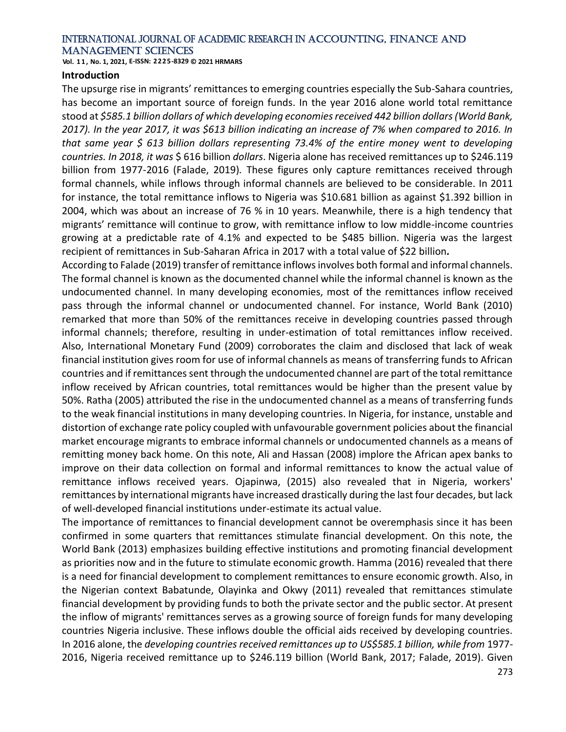**Vol. 1 1 , No. 1, 2021, E-ISSN: 2225-8329 © 2021 HRMARS**

#### **Introduction**

The upsurge rise in migrants' remittances to emerging countries especially the Sub-Sahara countries, has become an important source of foreign funds. In the year 2016 alone world total remittance stood at *\$585.1 billion dollars of which developing economies received 442 billion dollars (World Bank, 2017). In the year 2017, it was \$613 billion indicating an increase of 7% when compared to 2016. In that same year \$ 613 billion dollars representing 73.4% of the entire money went to developing countries. In 2018, it was* \$ 616 billion *dollars*. Nigeria alone has received remittances up to \$246.119 billion from 1977-2016 (Falade, 2019)*.* These figures only capture remittances received through formal channels, while inflows through informal channels are believed to be considerable. In 2011 for instance, the total remittance inflows to Nigeria was \$10.681 billion as against \$1.392 billion in 2004, which was about an increase of 76 % in 10 years. Meanwhile, there is a high tendency that migrants' remittance will continue to grow, with remittance inflow to low middle-income countries growing at a predictable rate of 4.1% and expected to be \$485 billion. Nigeria was the largest recipient of remittances in Sub-Saharan Africa in 2017 with a total value of \$22 billion*.*

According to Falade (2019) transfer of remittance inflows involves both formal and informal channels. The formal channel is known as the documented channel while the informal channel is known as the undocumented channel. In many developing economies, most of the remittances inflow received pass through the informal channel or undocumented channel. For instance, World Bank (2010) remarked that more than 50% of the remittances receive in developing countries passed through informal channels; therefore, resulting in under-estimation of total remittances inflow received. Also, International Monetary Fund (2009) corroborates the claim and disclosed that lack of weak financial institution gives room for use of informal channels as means of transferring funds to African countries and if remittances sent through the undocumented channel are part of the total remittance inflow received by African countries, total remittances would be higher than the present value by 50%. Ratha (2005) attributed the rise in the undocumented channel as a means of transferring funds to the weak financial institutions in many developing countries. In Nigeria, for instance, unstable and distortion of exchange rate policy coupled with unfavourable government policies about the financial market encourage migrants to embrace informal channels or undocumented channels as a means of remitting money back home. On this note, Ali and Hassan (2008) implore the African apex banks to improve on their data collection on formal and informal remittances to know the actual value of remittance inflows received years. Ojapinwa, (2015) also revealed that in Nigeria, workers' remittances by international migrants have increased drastically during the last four decades, but lack of well-developed financial institutions under-estimate its actual value.

The importance of remittances to financial development cannot be overemphasis since it has been confirmed in some quarters that remittances stimulate financial development. On this note, the World Bank (2013) emphasizes building effective institutions and promoting financial development as priorities now and in the future to stimulate economic growth. Hamma (2016) revealed that there is a need for financial development to complement remittances to ensure economic growth. Also, in the Nigerian context Babatunde, Olayinka and Okwy (2011) revealed that remittances stimulate financial development by providing funds to both the private sector and the public sector. At present the inflow of migrants' remittances serves as a growing source of foreign funds for many developing countries Nigeria inclusive. These inflows double the official aids received by developing countries. In 2016 alone, the *developing countries received remittances up to US\$585.1 billion, while from* 1977- 2016, Nigeria received remittance up to \$246.119 billion (World Bank, 2017; Falade, 2019). Given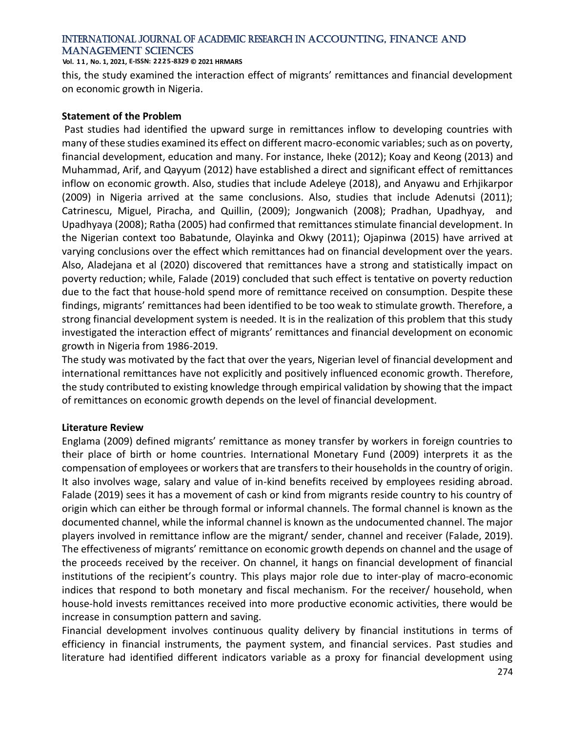**Vol. 1 1 , No. 1, 2021, E-ISSN: 2225-8329 © 2021 HRMARS**

this, the study examined the interaction effect of migrants' remittances and financial development on economic growth in Nigeria.

### **Statement of the Problem**

Past studies had identified the upward surge in remittances inflow to developing countries with many of these studies examined its effect on different macro-economic variables; such as on poverty, financial development, education and many. For instance, Iheke (2012); Koay and Keong (2013) and Muhammad, Arif, and Qayyum (2012) have established a direct and significant effect of remittances inflow on economic growth. Also, studies that include Adeleye (2018), and Anyawu and Erhjikarpor (2009) in Nigeria arrived at the same conclusions. Also, studies that include Adenutsi (2011); Catrinescu, Miguel, Piracha, and Quillin, (2009); Jongwanich (2008); Pradhan, Upadhyay, and Upadhyaya (2008); Ratha (2005) had confirmed that remittances stimulate financial development. In the Nigerian context too Babatunde, Olayinka and Okwy (2011); Ojapinwa (2015) have arrived at varying conclusions over the effect which remittances had on financial development over the years. Also, Aladejana et al (2020) discovered that remittances have a strong and statistically impact on poverty reduction; while, Falade (2019) concluded that such effect is tentative on poverty reduction due to the fact that house-hold spend more of remittance received on consumption. Despite these findings, migrants' remittances had been identified to be too weak to stimulate growth. Therefore, a strong financial development system is needed. It is in the realization of this problem that this study investigated the interaction effect of migrants' remittances and financial development on economic growth in Nigeria from 1986-2019.

The study was motivated by the fact that over the years, Nigerian level of financial development and international remittances have not explicitly and positively influenced economic growth. Therefore, the study contributed to existing knowledge through empirical validation by showing that the impact of remittances on economic growth depends on the level of financial development.

### **Literature Review**

Englama (2009) defined migrants' remittance as money transfer by workers in foreign countries to their place of birth or home countries. International Monetary Fund (2009) interprets it as the compensation of employees or workers that are transfers to their households in the country of origin. It also involves wage, salary and value of in-kind benefits received by employees residing abroad. Falade (2019) sees it has a movement of cash or kind from migrants reside country to his country of origin which can either be through formal or informal channels. The formal channel is known as the documented channel, while the informal channel is known as the undocumented channel. The major players involved in remittance inflow are the migrant/ sender, channel and receiver (Falade, 2019). The effectiveness of migrants' remittance on economic growth depends on channel and the usage of the proceeds received by the receiver. On channel, it hangs on financial development of financial institutions of the recipient's country. This plays major role due to inter-play of macro-economic indices that respond to both monetary and fiscal mechanism. For the receiver/ household, when house-hold invests remittances received into more productive economic activities, there would be increase in consumption pattern and saving.

Financial development involves continuous quality delivery by financial institutions in terms of efficiency in financial instruments, the payment system, and financial services. Past studies and literature had identified different indicators variable as a proxy for financial development using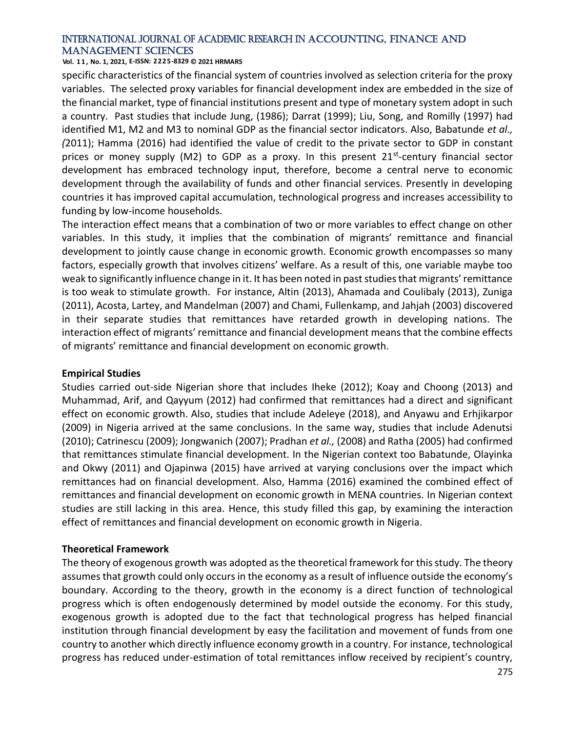#### **Vol. 1 1 , No. 1, 2021, E-ISSN: 2225-8329 © 2021 HRMARS**

specific characteristics of the financial system of countries involved as selection criteria for the proxy variables. The selected proxy variables for financial development index are embedded in the size of the financial market, type of financial institutions present and type of monetary system adopt in such a country. Past studies that include Jung, (1986); Darrat (1999); Liu, Song, and Romilly (1997) had identified M1, M2 and M3 to nominal GDP as the financial sector indicators. Also, Babatunde *et al., (*2011); Hamma (2016) had identified the value of credit to the private sector to GDP in constant prices or money supply (M2) to GDP as a proxy. In this present 21<sup>st</sup>-century financial sector development has embraced technology input, therefore, become a central nerve to economic development through the availability of funds and other financial services. Presently in developing countries it has improved capital accumulation, technological progress and increases accessibility to funding by low-income households.

The interaction effect means that a combination of two or more variables to effect change on other variables. In this study, it implies that the combination of migrants' remittance and financial development to jointly cause change in economic growth. Economic growth encompasses so many factors, especially growth that involves citizens' welfare. As a result of this, one variable maybe too weak to significantly influence change in it. It has been noted in past studies that migrants' remittance is too weak to stimulate growth. For instance, Altin (2013), Ahamada and Coulibaly (2013), Zuniga (2011), Acosta, Lartey, and Mandelman (2007) and Chami, Fullenkamp, and Jahjah (2003) discovered in their separate studies that remittances have retarded growth in developing nations. The interaction effect of migrants' remittance and financial development means that the combine effects of migrants' remittance and financial development on economic growth.

### **Empirical Studies**

Studies carried out-side Nigerian shore that includes Iheke (2012); Koay and Choong (2013) and Muhammad, Arif, and Qayyum (2012) had confirmed that remittances had a direct and significant effect on economic growth. Also, studies that include Adeleye (2018), and Anyawu and Erhjikarpor (2009) in Nigeria arrived at the same conclusions. In the same way, studies that include Adenutsi (2010); Catrinescu (2009); Jongwanich (2007); Pradhan *et al.,* (2008) and Ratha (2005) had confirmed that remittances stimulate financial development. In the Nigerian context too Babatunde, Olayinka and Okwy (2011) and Ojapinwa (2015) have arrived at varying conclusions over the impact which remittances had on financial development. Also, Hamma (2016) examined the combined effect of remittances and financial development on economic growth in MENA countries. In Nigerian context studies are still lacking in this area. Hence, this study filled this gap, by examining the interaction effect of remittances and financial development on economic growth in Nigeria.

### **Theoretical Framework**

The theory of exogenous growth was adopted as the theoretical framework for this study. The theory assumes that growth could only occurs in the economy as a result of influence outside the economy's boundary. According to the theory, growth in the economy is a direct function of technological progress which is often endogenously determined by model outside the economy. For this study, exogenous growth is adopted due to the fact that technological progress has helped financial institution through financial development by easy the facilitation and movement of funds from one country to another which directly influence economy growth in a country. For instance, technological progress has reduced under-estimation of total remittances inflow received by recipient's country,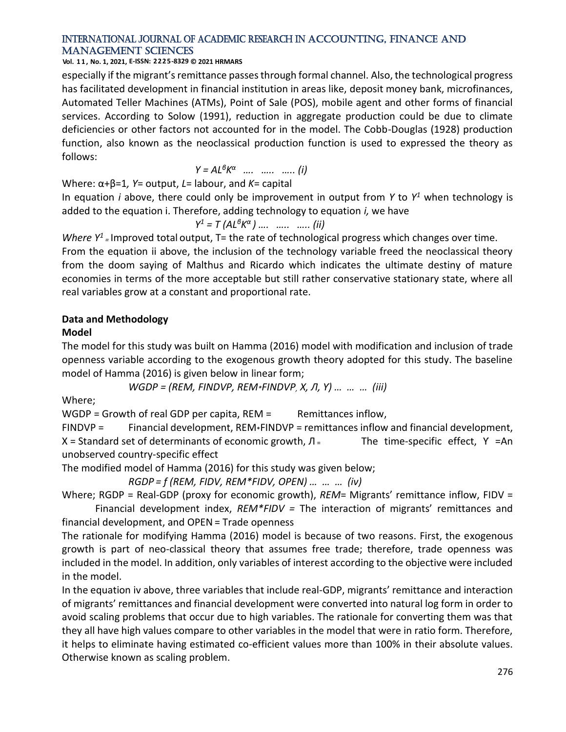**Vol. 1 1 , No. 1, 2021, E-ISSN: 2225-8329 © 2021 HRMARS**

especially if the migrant's remittance passes through formal channel. Also, the technological progress has facilitated development in financial institution in areas like, deposit money bank, microfinances, Automated Teller Machines (ATMs), Point of Sale (POS), mobile agent and other forms of financial services. According to Solow (1991), reduction in aggregate production could be due to climate deficiencies or other factors not accounted for in the model. The Cobb-Douglas (1928) production function, also known as the neoclassical production function is used to expressed the theory as follows:

$$
Y = AL^{\beta}K^{\alpha} \quad \dots \quad \dots \quad \dots \quad (i)
$$

Where: α+β=1*, Y*= output, *L*= labour, and *K*= capital

In equation *i* above, there could only be improvement in output from *Y* to *Y <sup>1</sup>* when technology is added to the equation i. Therefore, adding technology to equation *i,* we have

$$
Y^1 = T (AL^6 K^{\alpha}) \dots \dots \dots \dots \dots (ii)
$$

*Where*  $Y^1$  = Improved total output, T= the rate of technological progress which changes over time.

From the equation ii above, the inclusion of the technology variable freed the neoclassical theory from the doom saying of Malthus and Ricardo which indicates the ultimate destiny of mature economies in terms of the more acceptable but still rather conservative stationary state, where all real variables grow at a constant and proportional rate.

### **Data and Methodology**

### **Model**

The model for this study was built on Hamma (2016) model with modification and inclusion of trade openness variable according to the exogenous growth theory adopted for this study. The baseline model of Hamma (2016) is given below in linear form;

*WGDP = (REM, FINDVP, REM\*FINDVP, X, Л, Ƴ) … … … (iii)*

Where;

 $WGDP = Growth of real GDP per capita, REM =$ Remittances inflow,

FINDVP = Financial development, REM\*FINDVP = remittances inflow and financial development, X = Standard set of determinants of economic growth,  $\Pi$  = The time-specific effect, Y =An unobserved country-specific effect

The modified model of Hamma (2016) for this study was given below;

*RGDP = f (REM, FIDV, REM\*FIDV, OPEN) … … … (iv)*

Where; RGDP = Real-GDP (proxy for economic growth), *REM*= Migrants' remittance inflow, FIDV = Financial development index, *REM\*FIDV =* The interaction of migrants' remittances and

financial development, and OPEN= Trade openness

The rationale for modifying Hamma (2016) model is because of two reasons. First, the exogenous growth is part of neo-classical theory that assumes free trade; therefore, trade openness was included in the model. In addition, only variables of interest according to the objective were included in the model.

In the equation iv above, three variables that include real-GDP, migrants' remittance and interaction of migrants' remittances and financial development were converted into natural log form in order to avoid scaling problems that occur due to high variables. The rationale for converting them was that they all have high values compare to other variables in the model that were in ratio form. Therefore, it helps to eliminate having estimated co-efficient values more than 100% in their absolute values. Otherwise known as scaling problem.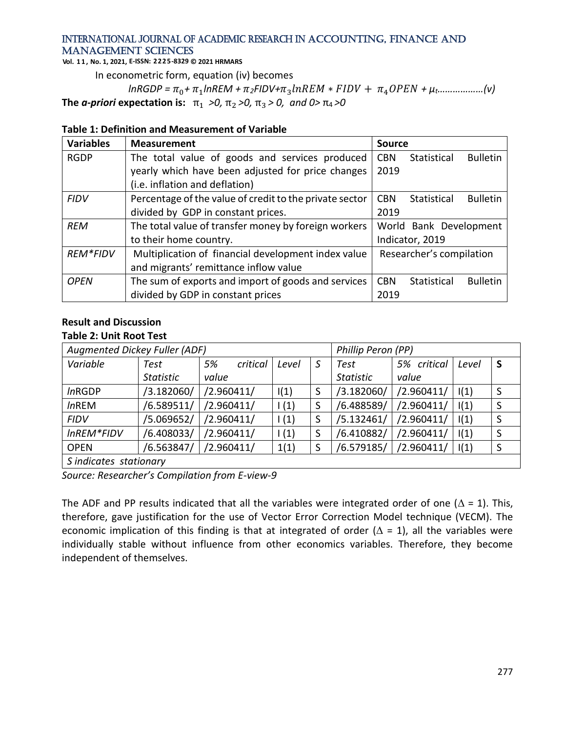**Vol. 1 1 , No. 1, 2021, E-ISSN: 2225-8329 © 2021 HRMARS**

In econometric form, equation (iv) becomes

 $ln$ *RGDP* =  $\pi_0$ +  $\pi_1$ lnREM +  $\pi_2$ FIDV+ $\pi_3$ lnREM \* FIDV +  $\pi_4$ OPEN +  $\mu$ t………………(v) **The** *a-priori* **expectation is:**  $\pi_1 > 0$ ,  $\pi_2 > 0$ ,  $\pi_3 > 0$ , and 0  $\pi_4 > 0$ 

|  | Table 1: Definition and Measurement of Variable |
|--|-------------------------------------------------|
|--|-------------------------------------------------|

| <b>Variables</b> | <b>Measurement</b>                                      | <b>Source</b> |                          |                 |
|------------------|---------------------------------------------------------|---------------|--------------------------|-----------------|
| <b>RGDP</b>      | The total value of goods and services produced          | <b>CBN</b>    | Statistical              | <b>Bulletin</b> |
|                  | yearly which have been adjusted for price changes       | 2019          |                          |                 |
|                  | (i.e. inflation and deflation)                          |               |                          |                 |
| <b>FIDV</b>      | Percentage of the value of credit to the private sector | <b>CBN</b>    | Statistical              | <b>Bulletin</b> |
|                  | divided by GDP in constant prices.                      | 2019          |                          |                 |
| <b>REM</b>       | The total value of transfer money by foreign workers    |               | World Bank Development   |                 |
|                  | to their home country.                                  |               | Indicator, 2019          |                 |
| <b>REM*FIDV</b>  | Multiplication of financial development index value     |               | Researcher's compilation |                 |
|                  | and migrants' remittance inflow value                   |               |                          |                 |
| <b>OPEN</b>      | The sum of exports and import of goods and services     | <b>CBN</b>    | <b>Statistical</b>       | <b>Bulletin</b> |
|                  | divided by GDP in constant prices                       | 2019          |                          |                 |

### **Result and Discussion**

### **Table 2: Unit Root Test**

| Augmented Dickey Fuller (ADF) |                  |                |       |   | Phillip Peron (PP) |             |       |    |
|-------------------------------|------------------|----------------|-------|---|--------------------|-------------|-------|----|
| Variable                      | Test             | critical<br>5% | Level | S | Test               | 5% critical | Level | S  |
|                               | <b>Statistic</b> | value          |       |   | <b>Statistic</b>   | value       |       |    |
| <i>In</i> RGDP                | /3.182060/       | /2.960411/     | I(1)  | S | /3.182060/         | /2.960411/  | I(1)  | S  |
| <b>InREM</b>                  | /6.589511/       | /2.960411/     | 1(1)  | S | /6.488589/         | /2.960411/  | I(1)  | S  |
| <b>FIDV</b>                   | /5.069652/       | /2.960411/     | 1(1)  |   | /5.132461/         | /2.960411/  | I(1)  | -S |
| InREM*FIDV                    | /6.408033/       | /2.960411/     | 1(1)  | S | /6.410882/         | /2.960411/  | I(1)  | S  |
| <b>OPEN</b>                   | /6.563847/       | /2.960411/     | 1(1)  | S | /6.579185/         | /2.960411/  | I(1)  | S  |
| S indicates stationary        |                  |                |       |   |                    |             |       |    |

*Source: Researcher's Compilation from E-view-9* 

The ADF and PP results indicated that all the variables were integrated order of one ( $\Delta$  = 1). This, therefore, gave justification for the use of Vector Error Correction Model technique (VECM). The economic implication of this finding is that at integrated of order ( $\Delta = 1$ ), all the variables were individually stable without influence from other economics variables. Therefore, they become independent of themselves.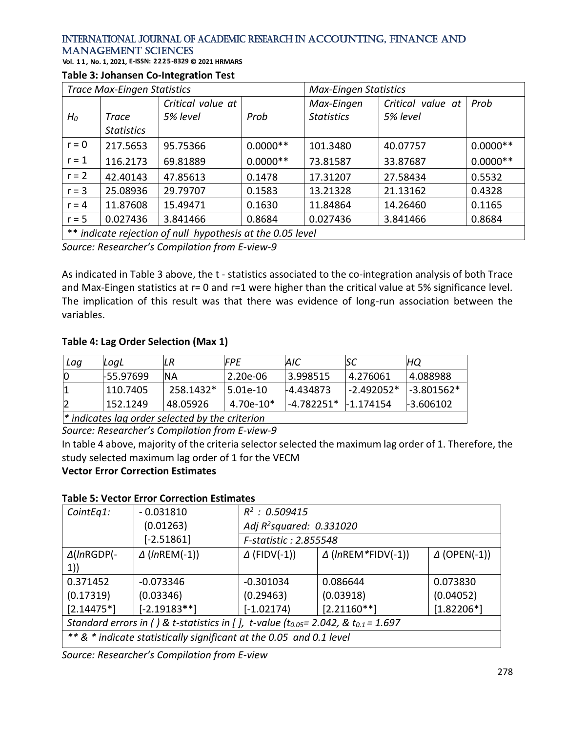**Vol. 1 1 , No. 1, 2021, E-ISSN: 2225-8329 © 2021 HRMARS**

### **Table 3: Johansen Co-Integration Test**

| <b>Trace Max-Eingen Statistics</b>                                  |                   |                   | <b>Max-Eingen Statistics</b> |                   |                   |            |  |
|---------------------------------------------------------------------|-------------------|-------------------|------------------------------|-------------------|-------------------|------------|--|
|                                                                     |                   | Critical value at |                              | Max-Eingen        | Critical value at | Prob       |  |
| $H_0$                                                               | <b>Trace</b>      | 5% level          | Prob                         | <b>Statistics</b> | 5% level          |            |  |
|                                                                     | <b>Statistics</b> |                   |                              |                   |                   |            |  |
| $r = 0$                                                             | 217.5653          | 95.75366          | $0.0000**$                   | 101.3480          | 40.07757          | $0.0000**$ |  |
| $r = 1$                                                             | 116.2173          | 69.81889          | $0.0000**$                   | 73.81587          | 33.87687          | $0.0000**$ |  |
| $r = 2$                                                             | 42.40143          | 47.85613          | 0.1478                       | 17.31207          | 27.58434          | 0.5532     |  |
| $r = 3$                                                             | 25.08936          | 29.79707          | 0.1583                       | 13.21328          | 21.13162          | 0.4328     |  |
| $r = 4$                                                             | 11.87608          | 15.49471          | 0.1630                       | 11.84864          | 14.26460          | 0.1165     |  |
| $r = 5$                                                             | 0.027436          | 3.841466          | 0.8684                       | 0.027436          | 3.841466          | 0.8684     |  |
| $**$ indicato rejection of pull punothecic at the $\Omega$ OF loyal |                   |                   |                              |                   |                   |            |  |

\*\* *indicate rejection of null hypothesis at the 0.05 level*

*Source: Researcher's Compilation from E-view-9* 

As indicated in Table 3 above, the t - statistics associated to the co-integration analysis of both Trace and Max-Eingen statistics at r=0 and r=1 were higher than the critical value at 5% significance level. The implication of this result was that there was evidence of long-run association between the variables.

### **Table 4: Lag Order Selection (Max 1)**

| Lag                                                    | LoaL      | LR        | <b>IFPE</b> | AIC       | ιsc             | HQ           |
|--------------------------------------------------------|-----------|-----------|-------------|-----------|-----------------|--------------|
|                                                        | F55.97699 | ΝA        | 2.20e-06    | 13.998515 | 14.276061       | 14.088988    |
|                                                        | 110.7405  | 258.1432* | $5.01e-10$  | -4.434873 | $1 - 2.492052*$ | $-3.801562*$ |
|                                                        | 152.1249  | 48.05926  | 4.70e-10*   |           |                 | -3.606102    |
| lik taalisastaa laan sudan salsataal loo tha suitsuisu |           |           |             |           |                 |              |

*\* indicates lag order selected by the criterion*

*Source: Researcher's Compilation from E-view-9* 

In table 4 above, majority of the criteria selector selected the maximum lag order of 1. Therefore, the study selected maximum lag order of 1 for the VECM

### **Vector Error Correction Estimates**

### **Table 5: Vector Error Correction Estimates**

| CointEq1:                                                                                      | $-0.031810$             | $R^2$ : 0.509415                     |                           |                        |  |  |
|------------------------------------------------------------------------------------------------|-------------------------|--------------------------------------|---------------------------|------------------------|--|--|
|                                                                                                | (0.01263)               | Adj R <sup>2</sup> squared: 0.331020 |                           |                        |  |  |
|                                                                                                | $[-2.51861]$            | F-statistic: 2.855548                |                           |                        |  |  |
| $\Delta$ (InRGDP(-                                                                             | $\triangle$ (InREM(-1)) | $\Delta$ (FIDV(-1))                  | $\Delta$ (InREM*FIDV(-1)) | $\triangle$ (OPEN(-1)) |  |  |
| 1)                                                                                             |                         |                                      |                           |                        |  |  |
| 0.371452                                                                                       | $-0.073346$             | $-0.301034$                          | 0.086644                  | 0.073830               |  |  |
| (0.17319)                                                                                      | (0.03346)               | (0.29463)                            | (0.03918)                 | (0.04052)              |  |  |
| $[2.14475*]$                                                                                   | $[-2.19183**]$          | $[-1.02174]$                         | $[2.21160**]$             | $[1.82206*]$           |  |  |
| Standard errors in () & t-statistics in [], t-value (t $_{0.05}$ = 2.042, & t $_{0.1}$ = 1.697 |                         |                                      |                           |                        |  |  |
| ** & * indicate statistically significant at the 0.05 and 0.1 level                            |                         |                                      |                           |                        |  |  |

*Source: Researcher's Compilation from E-view*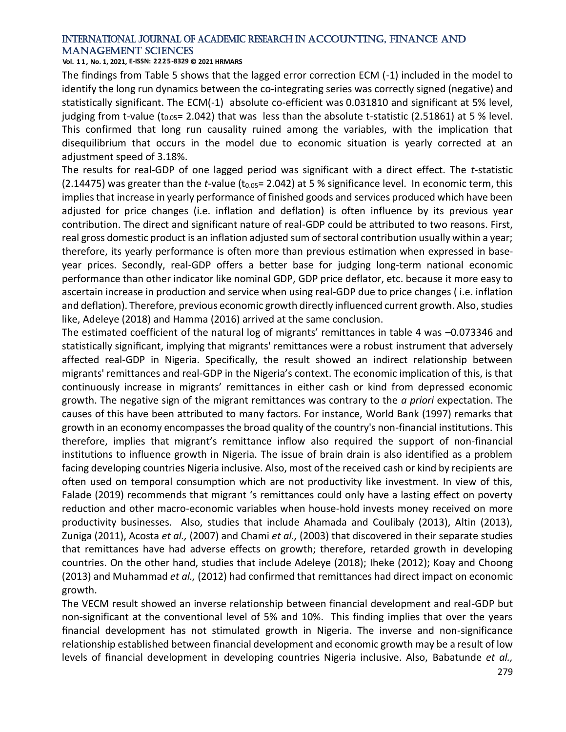**Vol. 1 1 , No. 1, 2021, E-ISSN: 2225-8329 © 2021 HRMARS**

The findings from Table 5 shows that the lagged error correction ECM (-1) included in the model to identify the long run dynamics between the co-integrating series was correctly signed (negative) and statistically significant. The ECM(-1) absolute co-efficient was 0.031810 and significant at 5% level, judging from t-value (t<sub>0.05</sub>= 2.042) that was less than the absolute t-statistic (2.51861) at 5 % level. This confirmed that long run causality ruined among the variables, with the implication that disequilibrium that occurs in the model due to economic situation is yearly corrected at an adjustment speed of 3.18%.

The results for real-GDP of one lagged period was significant with a direct effect. The *t*-statistic (2.14475) was greater than the *t*-value (t<sub>0.05</sub> = 2.042) at 5 % significance level. In economic term, this implies that increase in yearly performance of finished goods and services produced which have been adjusted for price changes (i.e. inflation and deflation) is often influence by its previous year contribution. The direct and significant nature of real-GDP could be attributed to two reasons. First, real gross domestic product is an inflation adjusted sum of sectoral contribution usually within a year; therefore, its yearly performance is often more than previous estimation when expressed in baseyear prices. Secondly, real-GDP offers a better base for judging long-term national economic performance than other indicator like nominal GDP, [GDP price deflator,](https://www.investopedia.com/terms/g/gdppricedeflator.asp) etc. because it more easy to ascertain increase in production and service when using real-GDP due to price changes ( i.e. inflation and deflation). Therefore, previous economic growth directly influenced current growth. Also, studies like, Adeleye (2018) and Hamma (2016) arrived at the same conclusion.

The estimated coefficient of the natural log of migrants' remittances in table 4 was –0.073346 and statistically significant, implying that migrants' remittances were a robust instrument that adversely affected real-GDP in Nigeria. Specifically, the result showed an indirect relationship between migrants' remittances and real-GDP in the Nigeria's context. The economic implication of this, is that continuously increase in migrants' remittances in either cash or kind from depressed economic growth. The negative sign of the migrant remittances was contrary to the *a priori* expectation. The causes of this have been attributed to many factors. For instance, World Bank (1997) remarks that growth in an economy encompasses the broad quality of the country's non-financial institutions. This therefore, implies that migrant's remittance inflow also required the support of non-financial institutions to influence growth in Nigeria. The issue of brain drain is also identified as a problem facing developing countries Nigeria inclusive. Also, most of the received cash or kind by recipients are often used on temporal consumption which are not productivity like investment. In view of this, Falade (2019) recommends that migrant 's remittances could only have a lasting effect on poverty reduction and other macro-economic variables when house-hold invests money received on more productivity businesses. Also, studies that include Ahamada and Coulibaly (2013), Altin (2013), Zuniga (2011), Acosta *et al.,* (2007) and Chami *et al.,* (2003) that discovered in their separate studies that remittances have had adverse effects on growth; therefore, retarded growth in developing countries. On the other hand, studies that include Adeleye (2018); Iheke (2012); Koay and Choong (2013) and Muhammad *et al.,* (2012) had confirmed that remittances had direct impact on economic growth.

The VECM result showed an inverse relationship between financial development and real-GDP but non-significant at the conventional level of 5% and 10%. This finding implies that over the years financial development has not stimulated growth in Nigeria. The inverse and non-significance relationship established between financial development and economic growth may be a result of low levels of financial development in developing countries Nigeria inclusive. Also, Babatunde *et al.,*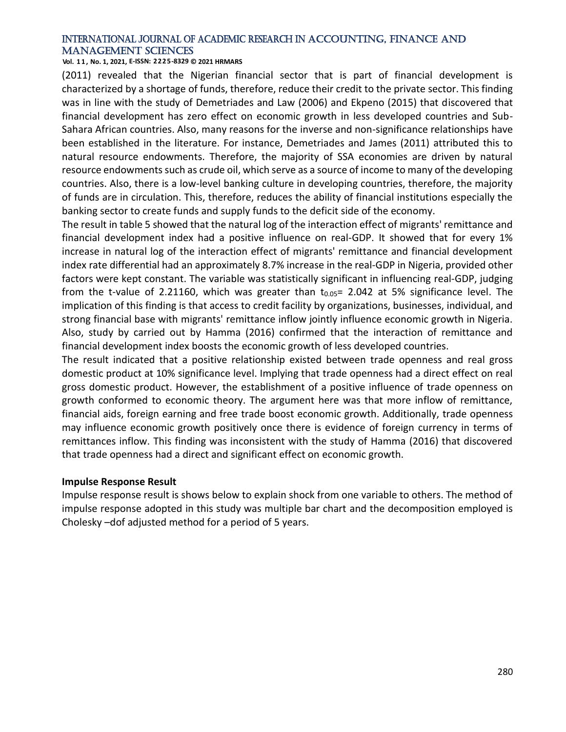**Vol. 1 1 , No. 1, 2021, E-ISSN: 2225-8329 © 2021 HRMARS**

(2011) revealed that the Nigerian financial sector that is part of financial development is characterized by a shortage of funds, therefore, reduce their credit to the private sector. This finding was in line with the study of Demetriades and Law (2006) and Ekpeno (2015) that discovered that financial development has zero effect on economic growth in less developed countries and Sub-Sahara African countries. Also, many reasons for the inverse and non-significance relationships have been established in the literature. For instance, Demetriades and James (2011) attributed this to natural resource endowments. Therefore, the majority of SSA economies are driven by natural resource endowments such as crude oil, which serve as a source of income to many of the developing countries. Also, there is a low-level banking culture in developing countries, therefore, the majority of funds are in circulation. This, therefore, reduces the ability of financial institutions especially the banking sector to create funds and supply funds to the deficit side of the economy.

The result in table 5 showed that the natural log of the interaction effect of migrants' remittance and financial development index had a positive influence on real-GDP. It showed that for every 1% increase in natural log of the interaction effect of migrants' remittance and financial development index rate differential had an approximately 8.7% increase in the real-GDP in Nigeria, provided other factors were kept constant. The variable was statistically significant in influencing real-GDP, judging from the t-value of 2.21160, which was greater than  $t_{0.05}$ = 2.042 at 5% significance level. The implication of this finding is that access to credit facility by organizations, businesses, individual, and strong financial base with migrants' remittance inflow jointly influence economic growth in Nigeria. Also, study by carried out by Hamma (2016) confirmed that the interaction of remittance and financial development index boosts the economic growth of less developed countries.

The result indicated that a positive relationship existed between trade openness and real gross domestic product at 10% significance level. Implying that trade openness had a direct effect on real gross domestic product. However, the establishment of a positive influence of trade openness on growth conformed to economic theory. The argument here was that more inflow of remittance, financial aids, foreign earning and free trade boost economic growth. Additionally, trade openness may influence economic growth positively once there is evidence of foreign currency in terms of remittances inflow. This finding was inconsistent with the study of Hamma (2016) that discovered that trade openness had a direct and significant effect on economic growth.

### **Impulse Response Result**

Impulse response result is shows below to explain shock from one variable to others. The method of impulse response adopted in this study was multiple bar chart and the decomposition employed is Cholesky –dof adjusted method for a period of 5 years.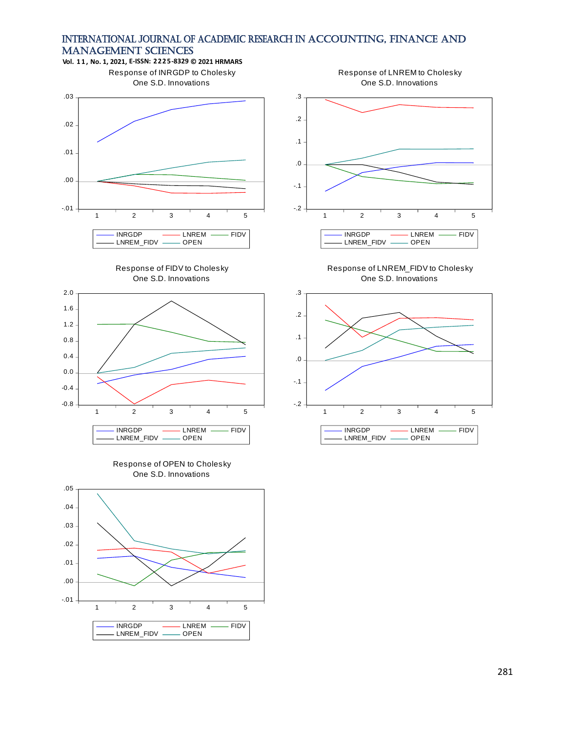









Response of LNREM to Cholesky One S.D. Innovations



Response of LNREM\_FIDV to Cholesky One S.D. Innovations

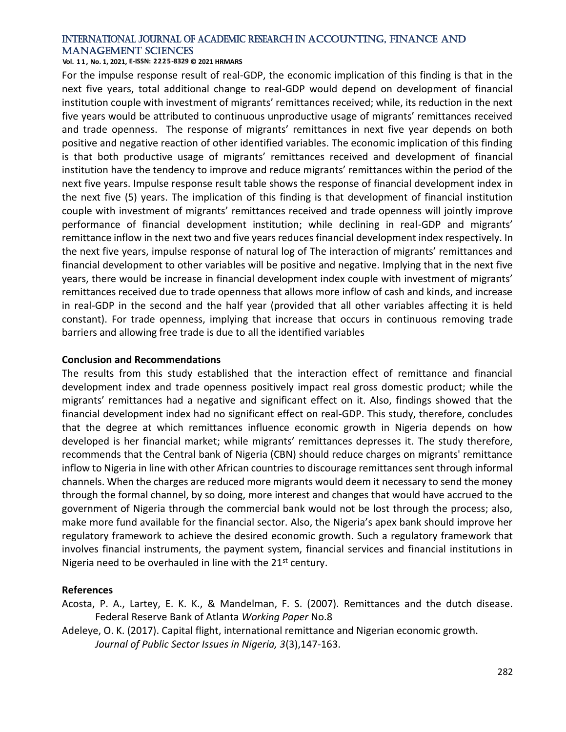**Vol. 1 1 , No. 1, 2021, E-ISSN: 2225-8329 © 2021 HRMARS**

For the impulse response result of real-GDP, the economic implication of this finding is that in the next five years, total additional change to real-GDP would depend on development of financial institution couple with investment of migrants' remittances received; while, its reduction in the next five years would be attributed to continuous unproductive usage of migrants' remittances received and trade openness. The response of migrants' remittances in next five year depends on both positive and negative reaction of other identified variables. The economic implication of this finding is that both productive usage of migrants' remittances received and development of financial institution have the tendency to improve and reduce migrants' remittances within the period of the next five years. Impulse response result table shows the response of financial development index in the next five (5) years. The implication of this finding is that development of financial institution couple with investment of migrants' remittances received and trade openness will jointly improve performance of financial development institution; while declining in real-GDP and migrants' remittance inflow in the next two and five years reduces financial development index respectively. In the next five years, impulse response of natural log of The interaction of migrants' remittances and financial development to other variables will be positive and negative. Implying that in the next five years, there would be increase in financial development index couple with investment of migrants' remittances received due to trade openness that allows more inflow of cash and kinds, and increase in real-GDP in the second and the half year (provided that all other variables affecting it is held constant). For trade openness, implying that increase that occurs in continuous removing trade barriers and allowing free trade is due to all the identified variables

### **Conclusion and Recommendations**

The results from this study established that the interaction effect of remittance and financial development index and trade openness positively impact real gross domestic product; while the migrants' remittances had a negative and significant effect on it. Also, findings showed that the financial development index had no significant effect on real-GDP. This study, therefore, concludes that the degree at which remittances influence economic growth in Nigeria depends on how developed is her financial market; while migrants' remittances depresses it. The study therefore, recommends that the Central bank of Nigeria (CBN) should reduce charges on migrants' remittance inflow to Nigeria in line with other African countries to discourage remittances sent through informal channels. When the charges are reduced more migrants would deem it necessary to send the money through the formal channel, by so doing, more interest and changes that would have accrued to the government of Nigeria through the commercial bank would not be lost through the process; also, make more fund available for the financial sector. Also, the Nigeria's apex bank should improve her regulatory framework to achieve the desired economic growth. Such a regulatory framework that involves financial instruments, the payment system, financial services and financial institutions in Nigeria need to be overhauled in line with the  $21<sup>st</sup>$  century.

### **References**

Acosta, P. A., Lartey, E. K. K., & Mandelman, F. S. (2007). Remittances and the dutch disease. Federal Reserve Bank of Atlanta *Working Paper* No.8

Adeleye, O. K. (2017). Capital flight, international remittance and Nigerian economic growth. *Journal of Public Sector Issues in Nigeria, 3*(3),147-163.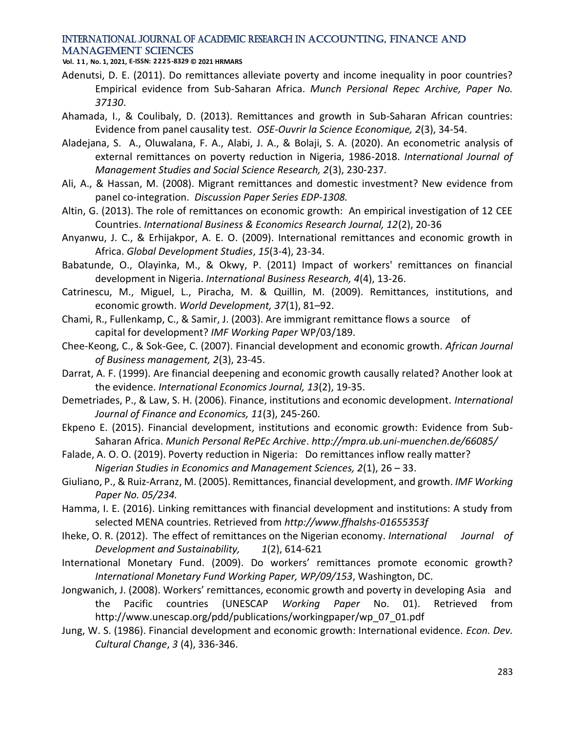**Vol. 1 1 , No. 1, 2021, E-ISSN: 2225-8329 © 2021 HRMARS**

- Adenutsi, D. E. (2011). Do remittances alleviate poverty and income inequality in poor countries? Empirical evidence from Sub-Saharan Africa. *Munch Persional Repec Archive, Paper No. 37130*.
- Ahamada, I., & Coulibaly, D. (2013). Remittances and growth in Sub-Saharan African countries: Evidence from panel causality test. *OSE-Ouvrir la Science Economique, 2*(3), 34-54.
- Aladejana, S. A., Oluwalana, F. A., Alabi, J. A., & Bolaji, S. A. (2020). An econometric analysis of external remittances on poverty reduction in Nigeria, 1986-2018. *International Journal of Management Studies and Social Science Research, 2*(3), 230-237.
- Ali, A., & Hassan, M. (2008). Migrant remittances and domestic investment? New evidence from panel co-integration. *Discussion Paper Series EDP-1308.*
- Altin, G. (2013). The role of remittances on economic growth: An empirical investigation of 12 CEE Countries. *International Business & Economics Research Journal, 12*(2), 20-36
- Anyanwu, J. C., & Erhijakpor, A. E. O. (2009). International remittances and economic growth in Africa. *Global Development Studies*, *15*(3-4), 23-34.
- Babatunde, O., Olayinka, M., & Okwy, P. (2011) Impact of workers' remittances on financial development in Nigeria. *International Business Research, 4*(4), 13-26.
- Catrinescu, M., Miguel, L., Piracha, M. & Quillin, M. (2009). Remittances, institutions, and economic growth. *World Development, 37*(1), 81–92.
- Chami, R., Fullenkamp, C., & Samir, J. (2003). Are immigrant remittance flows a source of capital for development? *IMF Working Paper* WP/03/189.
- Chee-Keong, C., & Sok-Gee, C. (2007). Financial development and economic growth. *African Journal of Business management, 2*(3), 23-45.
- Darrat, A. F. (1999). Are financial deepening and economic growth causally related? Another look at the evidence. *International Economics Journal, 13*(2), 19-35.
- Demetriades, P., & Law, S. H. (2006). Finance, institutions and economic development. *International Journal of Finance and Economics, 11*(3), 245-260.
- Ekpeno E. (2015). Financial development, institutions and economic growth: Evidence from Sub-Saharan Africa. *Munich Personal RePEc Archive*. *http://mpra.ub.uni-muenchen.de/66085/*
- Falade, A. O. O. (2019). Poverty reduction in Nigeria: Do remittances inflow really matter? *Nigerian Studies in Economics and Management Sciences, 2*(1), 26 – 33.
- Giuliano, P., & Ruiz-Arranz, M. (2005). Remittances, financial development, and growth. *IMF Working Paper No. 05/234.*
- Hamma, I. E. (2016). Linking remittances with financial development and institutions: A study from selected MENA countries. Retrieved from *http://www.ffhalshs-01655353f*
- Iheke, O. R. (2012). The effect of remittances on the Nigerian economy. *International Journal of Development and Sustainability, 1*(2), 614-621
- International Monetary Fund. (2009). Do workers' remittances promote economic growth? *International Monetary Fund Working Paper, WP/09/153*, Washington, DC.
- Jongwanich, J. (2008). Workers' remittances, economic growth and poverty in developing Asia and the Pacific countries (UNESCAP *Working Paper* No. 01). Retrieved from http://www.unescap.org/pdd/publications/workingpaper/wp\_07\_01.pdf
- Jung, W. S. (1986). Financial development and economic growth: International evidence. *Econ. Dev. Cultural Change*, *3* (4), 336-346.